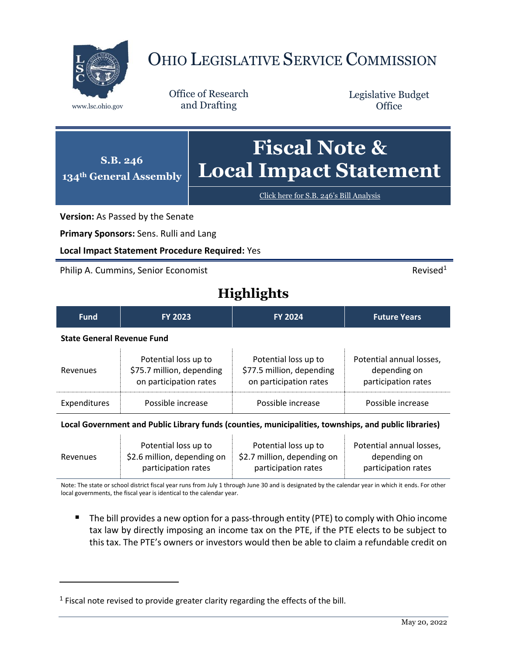

## OHIO LEGISLATIVE SERVICE COMMISSION

Office of Research www.lsc.ohio.gov and Drafting

Legislative Budget **Office** 



Click here for S.B. 246'[s Bill Analysis](https://www.legislature.ohio.gov/legislation/legislation-documents?id=GA134-SB-246)

**Version:** As Passed by the Senate

**Primary Sponsors:** Sens. Rulli and Lang

**Local Impact Statement Procedure Required:** Yes

Philip A. Cummins, Senior Economist **Revised1 Revised1** 

 $\overline{a}$ 

## **Highlights**

| <b>Fund</b>                                                                                                                                                                                                                           | <b>FY 2023</b>                                                              | <b>FY 2024</b>                                                              | <b>Future Years</b>                                             |  |
|---------------------------------------------------------------------------------------------------------------------------------------------------------------------------------------------------------------------------------------|-----------------------------------------------------------------------------|-----------------------------------------------------------------------------|-----------------------------------------------------------------|--|
| <b>State General Revenue Fund</b>                                                                                                                                                                                                     |                                                                             |                                                                             |                                                                 |  |
| Revenues                                                                                                                                                                                                                              | Potential loss up to<br>\$75.7 million, depending<br>on participation rates | Potential loss up to<br>\$77.5 million, depending<br>on participation rates | Potential annual losses,<br>depending on<br>participation rates |  |
| Expenditures                                                                                                                                                                                                                          | Possible increase                                                           | Possible increase                                                           | Possible increase                                               |  |
| $\mathbf{r}$ , and $\mathbf{A}$ are associated the set of the set of the set of the set of the set of the set of the set of the set of the set of the set of the set of the set of the set of the set of the set of the set of the se |                                                                             |                                                                             |                                                                 |  |

|          | Potential loss up to        | Potential loss up to        | Potential annual losses, |
|----------|-----------------------------|-----------------------------|--------------------------|
| Revenues | \$2.6 million, depending on | \$2.7 million, depending on | depending on             |
|          | participation rates         | participation rates         | participation rates      |

Note: The state or school district fiscal year runs from July 1 through June 30 and is designated by the calendar year in which it ends. For other local governments, the fiscal year is identical to the calendar year.

 The bill provides a new option for a pass-through entity (PTE) to comply with Ohio income tax law by directly imposing an income tax on the PTE, if the PTE elects to be subject to this tax. The PTE's owners or investors would then be able to claim a refundable credit on

 $<sup>1</sup>$  Fiscal note revised to provide greater clarity regarding the effects of the bill.</sup>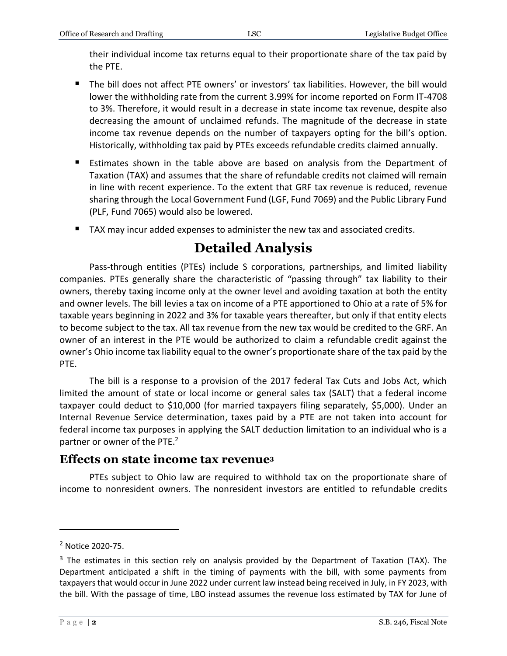their individual income tax returns equal to their proportionate share of the tax paid by the PTE.

- The bill does not affect PTE owners' or investors' tax liabilities. However, the bill would lower the withholding rate from the current 3.99% for income reported on Form IT-4708 to 3%. Therefore, it would result in a decrease in state income tax revenue, despite also decreasing the amount of unclaimed refunds. The magnitude of the decrease in state income tax revenue depends on the number of taxpayers opting for the bill's option. Historically, withholding tax paid by PTEs exceeds refundable credits claimed annually.
- **Estimates shown in the table above are based on analysis from the Department of** Taxation (TAX) and assumes that the share of refundable credits not claimed will remain in line with recent experience. To the extent that GRF tax revenue is reduced, revenue sharing through the Local Government Fund (LGF, Fund 7069) and the Public Library Fund (PLF, Fund 7065) would also be lowered.
- TAX may incur added expenses to administer the new tax and associated credits.

## **Detailed Analysis**

Pass-through entities (PTEs) include S corporations, partnerships, and limited liability companies. PTEs generally share the characteristic of "passing through" tax liability to their owners, thereby taxing income only at the owner level and avoiding taxation at both the entity and owner levels. The bill levies a tax on income of a PTE apportioned to Ohio at a rate of 5% for taxable years beginning in 2022 and 3% for taxable years thereafter, but only if that entity elects to become subject to the tax. All tax revenue from the new tax would be credited to the GRF. An owner of an interest in the PTE would be authorized to claim a refundable credit against the owner's Ohio income tax liability equal to the owner's proportionate share of the tax paid by the PTE.

The bill is a response to a provision of the 2017 federal Tax Cuts and Jobs Act, which limited the amount of state or local income or general sales tax (SALT) that a federal income taxpayer could deduct to \$10,000 (for married taxpayers filing separately, \$5,000). Under an Internal Revenue Service determination, taxes paid by a PTE are not taken into account for federal income tax purposes in applying the SALT deduction limitation to an individual who is a partner or owner of the PTE.<sup>2</sup>

## **Effects on state income tax revenue<sup>3</sup>**

PTEs subject to Ohio law are required to withhold tax on the proportionate share of income to nonresident owners. The nonresident investors are entitled to refundable credits

 $\overline{a}$ 

<sup>2</sup> Notice 2020-75.

 $3$  The estimates in this section rely on analysis provided by the Department of Taxation (TAX). The Department anticipated a shift in the timing of payments with the bill, with some payments from taxpayers that would occur in June 2022 under current law instead being received in July, in FY 2023, with the bill. With the passage of time, LBO instead assumes the revenue loss estimated by TAX for June of